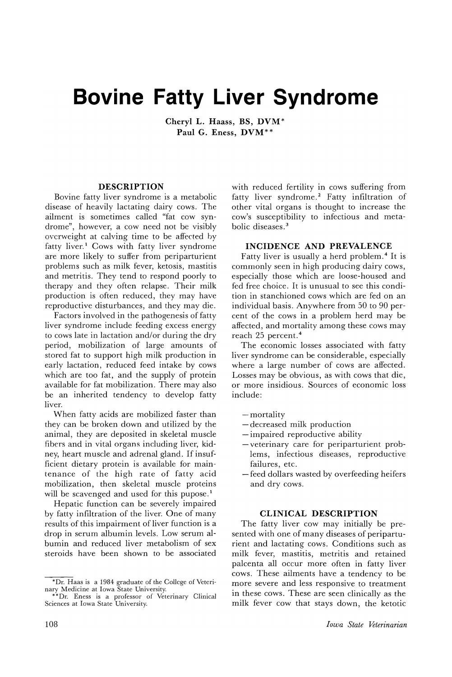# **Bovine Fatty Liver Syndrome**

Cheryl L. Haass, BS, DVM\* Paul G. Eness, DVM\*\*

## DESCRIPTION

Bovine fatty liver syndrome is a metabolic disease of heavily lactating dairy cows. The ailment is sometimes called "fat cow syndrome", however, a cow need not be visibly ovcrvveight at calving time to be affected by fatty liver.<sup>1</sup> Cows with fatty liver syndrome are more likely to suffer from periparturient problems such as milk fever, ketosis, mastitis and metritis. They tend to respond poorly to therapy and they often relapse. Their milk production is often reduced, they may have reproductive disturbances, and they may die.

Factors involved in the pathogenesis of fatty liver syndrome include feeding excess energy to cows late in lactation and/or during the dry period, mobilization of large amounts of stored fat to support high milk production in early lactation, reduced feed intake by cows which are too fat, and the supply of protein available for fat mobilization. There may also be an inherited tendency to develop fatty liver.

When fatty acids are mobilized faster than they can be broken down and utilized by the animal, they are deposited in skeletal muscle fibers and in vital organs including liver, kidney, heart muscle and adrenal gland. If insufficient dietary protein is available for maintenance of the high rate of fatty acid mobilization, then skeletal muscle proteins will be scavenged and used for this pupose.<sup>1</sup>

Hepatic function can be severely impaired by fatty infiltration of the liver. One of many results of this impairment of liver function is a drop in serum albumin levels. Low serum albumin and reduced liver metabolism of sex steroids have been shown to be associated

with reduced fertility in cows suffering from fatty liver syndrome.<sup>2</sup> Fatty infiltration of other vital organs is thought to increase the cow's susceptibility to infectious and metabolic diseases. <sup>3</sup>

### INCIDENCE AND PREVALENCE

Fatty liver is usually a herd problem. <sup>4</sup> It is commonly seen in high producing dairy cows, especially those which are loose-housed and fed free choice. It is unusual to see this condition in stanchioned cows which are fed on an individual basis. Anywhere from 50 to 90 percent of the cows in a problem herd may be affected, and mortality among these cows may reach 25 percent. <sup>4</sup>

The economic losses associated with fatty liver syndrome can be considerable, especially where a large number of cows are affected. Losses may be obvious, as with cows that die, or more insidious. Sources of economic loss include:

- $-$ mortality
- decreased milk production
- impaired reproductive ability
- veterinary care for periparturient problems, infectious diseases, reproductive failures, etc.
- feed dollars wasted by overfeeding heifers and dry cows.

## CLINICAL DESCRIPTION

The fatty liver cow may initially be presented with one of many diseases of periparturient and lactating cows. Conditions such as milk fever, mastitis, metritis and retained palcenta all occur more often in fatty liver cows. These ailments have a tendency to be more severe and less responsive to treatment in these cows. These are seen clinically as the milk fever cow that stays down, the ketotic

<sup>\*</sup>Dr. Haas is a 1984 graduate of the College of Veteri-nary Medicine at Iowa State University. \*\*Dr. Eness is a professor of Veterinary Clinical

Sciences at Iowa State University.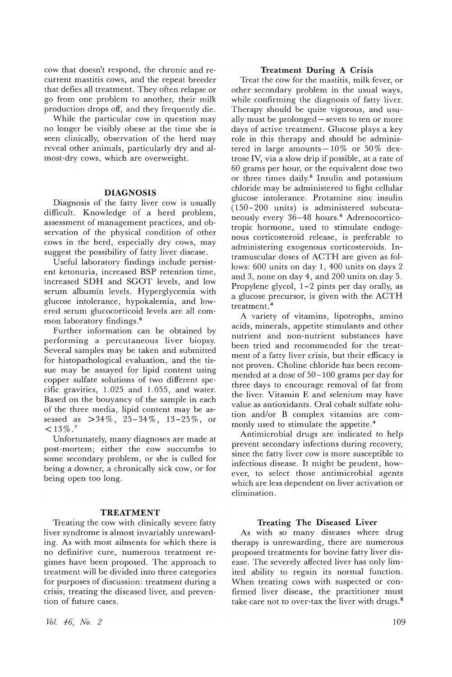cow that doesn't respond, the chronic and recurrent mastitis cows, and the repeat breeder that defies all treatment. They often relapse or go from one problem to another, their milk production drops off, and they frequently die.

While the particular cow in question may no longer be visibly obese at the time she is seen clinically, observation of the herd may reveal other animals, particularly dry and almost-dry cows, which are overweight.

#### **DIAGNOSIS**

Diagnosis of the fatty liver cow is usually difficult. Knowledge of a herd problem, assessment of management practices, and observation of the physical condition of other cows in the herd, especially dry cows, may suggest the possibility of fatty liver disease.

D seful laboratory findings include persistent ketonuria, increased BSP retention time, increased SDH and SGOT levels, and low serum albumin levels. Hyperglycemia with glucose intolerance, hypokalemia, and lowered serum glucocorticoid levels are all common laboratory findings. 6

Further information can be obtained by performing a percutaneous liver biopsy. Several samples may be taken and submitted for histopathological evaluation, and the tissue may be assayed for lipid content using copper sulfate solutions of two different specific gravities, 1.025 and 1.055, and water. Based on the bouyancy of the sample in each of the three media, lipid content may be assessed as >34%, 25-34%, 13-25%, or  $< 13\%$ .<sup>7</sup>

Unfortunately, many diagnoses are made at post-mortem; either the cow succumbs to some secondary problem, or she is culled for being a downer, a chronically sick cow, or for being open too long.

#### **TREATMENT**

Treating the cow with clinically severe fatty liver syndrome is almost invariably unrewarding. As with most ailments for which there is no definitive cure, numerous treatment regimes have been proposed. The approach to treatment will be divided into three categories for purposes of discussion: treatment during a crisis, treating the diseased liver, and prevention of future cases.

### **Treatment During A Crisis**

Treat the cow for the mastitis, milk fever, or other secondary problem in the usual ways, while confirming the diagnosis of fatty liver. Therapy should be quite vigorous, and usually must be prolonged – seven to ten or more days of active treatment. Glucose plays a key role in this therapy and should be administered in large amounts $-10\%$  or  $50\%$  dextrose IV, via a slow drip if possible, at a rate of 60 grams per hour, or the equivalent dose two or three times daily.<sup>6</sup> Insulin and potassium chloride may be administered to fight cellular glucose intolerance. Protamine zinc insulin (150- 200 units) is administered subcutaneously every 36-48 hours.<sup>6</sup> Adrenocorticotropic hormone, used to stimulate endogenous corticosteroid release, is preferable to administering exogenous corticosteroids. Intramuscular doses of ACTH are given as follows: 600 units on day 1, 400 units on days 2 and 3, none on day 4, and 200 units on day 5. Propylene glycol, 1-2 pints per day orally, as a glucose precursor, is given with the ACTH treatment. <sup>4</sup>

A variety of vitamins, lipotrophs, amino acids, minerals, appetite stimulants and other nutrient and non-nutrient substances have been tried and recommended for the treatment of a fatty liver crisis, but their efficacy is not proven. Choline chloride has been recommended at a dose of 50-100 grams per day for three days to encourage removal of fat from the liver. Vitamin E and selenium may have value as antioxidants. Oral cobalt sulfate solution and/or B complex vitamins are commonly used to stimulate the appetite.<sup>4</sup>

Antimicrobial drugs are indicated to help prevent secondary infections during recovery, since the fatty liver cow is more susceptible to infectious disease. It might be prudent, however, to select those antimicrobial agents which are less dependent on liver activation or elimination.

#### **Treating The Diseased Liver**

As with so many diseases where drug therapy is unrewarding, there are numerous proposed treatments for bovine fatty liver disease. The severely affected liver has only limited ability to regain its normal function. When treating cows with suspected or confirmed liver disease, the practitioner must take care not to over-tax the liver with drugs.<sup>8</sup>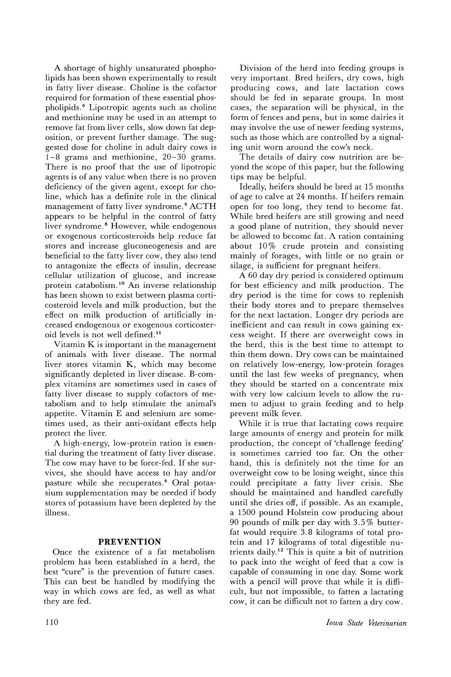A shortage of highly unsaturated phospholipids has been shown experimentally to result in fatty liver disease. Choline is the cofactor required for formation of these essential phospholipids. <sup>6</sup> Lipotropic agents such as choline and methionine may be used in an attempt to remove fat from liver cells, slow down fat deposition, or prevent further damage. The suggested dose for choline in adult dairy cows is 1-8 grams and methionine, 20-30 grams. There is no proof that the use of lipotropic agents is of any value when there is no proven deficiency of the given agent, except for choline, which has a definite role in the clinical management of fatty liver syndrome. <sup>9</sup> ACTH appears to be helpful in the control of fatty liver syndrome.<sup>8</sup> However, while endogenous or exogenous corticosteroids help reduce fat stores and increase gluconeogenesis and are beneficial to the fatty liver cow, they also tend to antagonize the effects of insulin, decrease cellular utilization of glucose, and increase protein catabolism. <sup>10</sup> An inverse relationship has been shown to exist between plasma corticosteroid levels and milk production, but the effect on milk production of artificially increased endogenous or exogenous corticosteroid levels is not well defined. <sup>11</sup>

Vitamin K is important in the management of animals with liver disease. The normal liver stores vitamin K, which may become significantly depleted in liver disease. B-complex vitamins are sometimes used in cases of fatty liver disease to supply cofactors of metabolism and to help stimulate the animal's appetite. Vitamin E and selenium are sometimes used, as their anti-oxidant effects help protect the liver.

A high=energy, low~protein ration is essential during the treatment of fatty liver disease. The cow may have to be force-fed. If she survives, she should have access to hay and/or pasture while she recuperates.<sup>6</sup> Oral potassium supplementation may be needed if body stores of potassium have been depleted by the illness.

## **PREVENTION**

Once the existence of a fat metabolism problem has been established in a herd, the best "cure" is the prevention of future cases. This can best be handled by modifying the way in which cows are fed, as well as what they are fed.

Division of the herd into feeding groups is very important. Bred heifers, dry cows, high producing cows, and late lactation cows should be fed in separate groups. In most cases, the separation will be physical, in the form of fences and pens, but in some dairies it may involve the use of newer feeding systems, such as those which are controlled by a signaling unit worn around the cow's neck.

The details of dairy cow nutrition are beyond the scope of this paper, but the following tips may be helpful.

Ideally, heifers should be bred at 15 months of age to calve at 24 months. If heifers remain open for too long, they tend to become fat. While bred heifers are still growing and need a good plane of nutrition, they should never be allowed to become fat. A ration containing about 10% crude protein and consisting mainly of forages, with little or no grain or silage, is sufficient for pregnant heifers.

A 60 day dry period is considered optimum for best efficiency and milk production. The dry period is the time for cows to replenish their body stores and to prepare themselves for the next lactation. Longer dry periods are inefficient and can result in cows gaining excess weight. If there are overweight cows in the herd, this is the best time to attempt to thin them down. Dry cows can be maintained on relatively low-energy, low-protein forages until the last few weeks of pregnancy, when they should be started on a concentrate mix with very low calcium levels to allow the rumen to adjust to grain feeding and to help prevent milk fever.

While it is true that lactating cows require large amounts of energy and protein for milk production, the concept of 'challenge feeding' is sometimes carried too far. On the other hand, this is definitely not the time for an overweight cow to be losing weight, since this could precipitate a fatty liver crisis. She should be maintained and handled carefully until she dries off, if possible. As an example, a 1500 pound Holstein cow producing about 90 pounds of milk per day with 3.5 % butterfat would require 3.8 kilograms of total protein and 17 kilograms of total digestible nutrients daily.12 This is quite a bit of nutrition to pack into the weight of feed that a cow is capable of consuming in one day. Some work with a pencil will prove that while it is difficult, but not impossible, to fatten a lactating cow, it can be difficult not to fatten a dry cow.